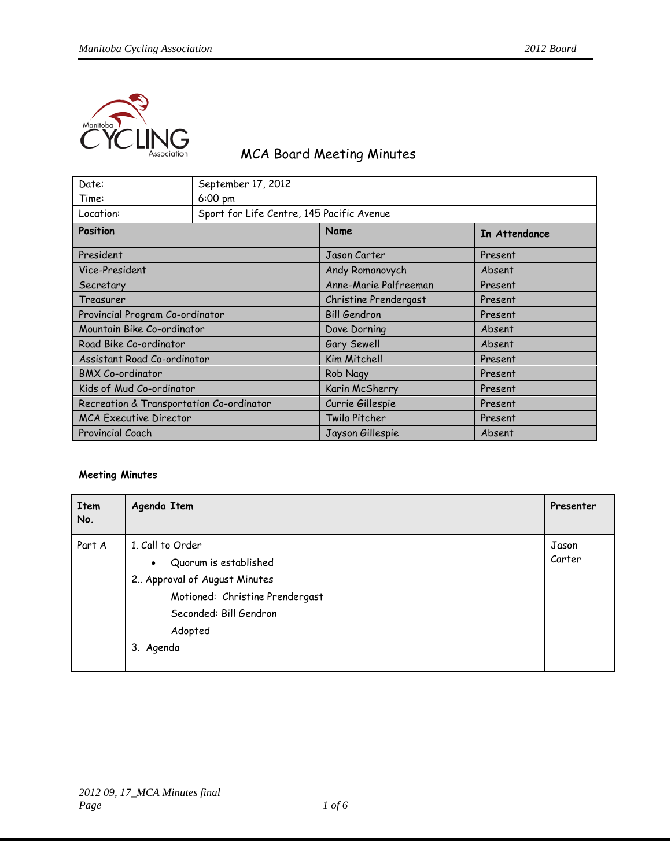

## MCA Board Meeting Minutes

| Date:                                    | September 17, 2012                        |                       |               |  |  |
|------------------------------------------|-------------------------------------------|-----------------------|---------------|--|--|
| Time:                                    | 6:00 pm                                   |                       |               |  |  |
| Location:                                | Sport for Life Centre, 145 Pacific Avenue |                       |               |  |  |
| Position                                 |                                           | Name                  | In Attendance |  |  |
| President                                |                                           | Jason Carter          | Present       |  |  |
| Vice-President                           |                                           | Andy Romanovych       | Absent        |  |  |
| Secretary                                |                                           | Anne-Marie Palfreeman | Present       |  |  |
| Treasurer                                |                                           | Christine Prendergast | Present       |  |  |
| Provincial Program Co-ordinator          |                                           | <b>Bill Gendron</b>   | Present       |  |  |
| Mountain Bike Co-ordinator               |                                           | Dave Dorning          | Absent        |  |  |
| Road Bike Co-ordinator                   |                                           | Gary Sewell           | Absent        |  |  |
| Assistant Road Co-ordinator              |                                           | Kim Mitchell          | Present       |  |  |
| <b>BMX Co-ordinator</b>                  |                                           | Rob Nagy              | Present       |  |  |
| Kids of Mud Co-ordinator                 |                                           | Karin McSherry        | Present       |  |  |
| Recreation & Transportation Co-ordinator |                                           | Currie Gillespie      | Present       |  |  |
| <b>MCA Executive Director</b>            |                                           | Twila Pitcher         | Present       |  |  |
| Provincial Coach                         |                                           | Jayson Gillespie      | Absent        |  |  |

## **Meeting Minutes**

| Item<br>No. | Agenda Item                        | Presenter |
|-------------|------------------------------------|-----------|
| Part A      | 1. Call to Order                   |           |
|             | Quorum is established<br>$\bullet$ | Carter    |
|             | 2. Approval of August Minutes      |           |
|             | Motioned: Christine Prendergast    |           |
|             | Seconded: Bill Gendron             |           |
|             | Adopted                            |           |
|             | 3. Agenda                          |           |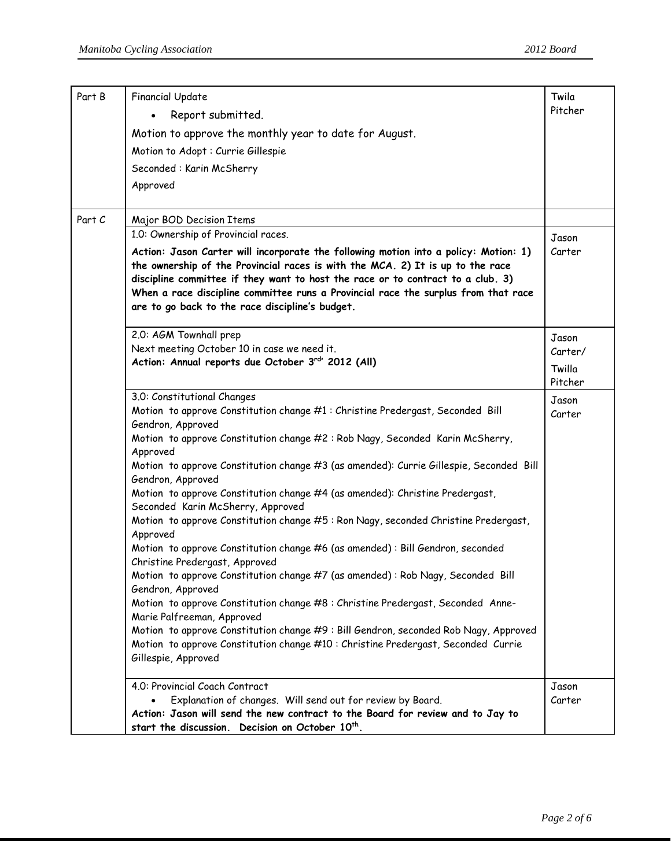| Part B | <b>Financial Update</b>                                                                                                                                                   | Twila<br>Pitcher |
|--------|---------------------------------------------------------------------------------------------------------------------------------------------------------------------------|------------------|
|        | Report submitted.                                                                                                                                                         |                  |
|        | Motion to approve the monthly year to date for August.                                                                                                                    |                  |
|        | Motion to Adopt : Currie Gillespie                                                                                                                                        |                  |
|        | Seconded: Karin McSherry                                                                                                                                                  |                  |
|        | Approved                                                                                                                                                                  |                  |
|        |                                                                                                                                                                           |                  |
| Part C | Major BOD Decision Items                                                                                                                                                  |                  |
|        | 1.0: Ownership of Provincial races.                                                                                                                                       | Jason            |
|        | Action: Jason Carter will incorporate the following motion into a policy: Motion: 1)                                                                                      | Carter           |
|        | the ownership of the Provincial races is with the MCA. 2) It is up to the race                                                                                            |                  |
|        | discipline committee if they want to host the race or to contract to a club. 3)                                                                                           |                  |
|        | When a race discipline committee runs a Provincial race the surplus from that race                                                                                        |                  |
|        | are to go back to the race discipline's budget.                                                                                                                           |                  |
|        | 2.0: AGM Townhall prep                                                                                                                                                    |                  |
|        | Next meeting October 10 in case we need it.                                                                                                                               | Jason<br>Carter/ |
|        | Action: Annual reports due October 3rd <sup>1</sup> 2012 (All)                                                                                                            | Twilla           |
|        |                                                                                                                                                                           | Pitcher          |
|        | 3.0: Constitutional Changes                                                                                                                                               | Jason            |
|        | Motion to approve Constitution change #1 : Christine Predergast, Seconded Bill                                                                                            | Carter           |
|        | Gendron, Approved                                                                                                                                                         |                  |
|        | Motion to approve Constitution change #2: Rob Nagy, Seconded Karin McSherry,<br>Approved                                                                                  |                  |
|        | Motion to approve Constitution change #3 (as amended): Currie Gillespie, Seconded Bill                                                                                    |                  |
|        | Gendron, Approved                                                                                                                                                         |                  |
|        | Motion to approve Constitution change #4 (as amended): Christine Predergast,<br>Seconded Karin McSherry, Approved                                                         |                  |
|        | Motion to approve Constitution change #5 : Ron Nagy, seconded Christine Predergast,                                                                                       |                  |
|        | Approved                                                                                                                                                                  |                  |
|        | Motion to approve Constitution change #6 (as amended) : Bill Gendron, seconded<br>Christine Predergast, Approved                                                          |                  |
|        | Motion to approve Constitution change #7 (as amended) : Rob Nagy, Seconded Bill                                                                                           |                  |
|        | Gendron, Approved                                                                                                                                                         |                  |
|        | Motion to approve Constitution change #8 : Christine Predergast, Seconded Anne-                                                                                           |                  |
|        | Marie Palfreeman, Approved                                                                                                                                                |                  |
|        | Motion to approve Constitution change #9 : Bill Gendron, seconded Rob Nagy, Approved<br>Motion to approve Constitution change #10 : Christine Predergast, Seconded Currie |                  |
|        | Gillespie, Approved                                                                                                                                                       |                  |
|        | 4.0: Provincial Coach Contract                                                                                                                                            |                  |
|        | Explanation of changes. Will send out for review by Board.                                                                                                                | Jason<br>Carter  |
|        | Action: Jason will send the new contract to the Board for review and to Jay to                                                                                            |                  |
|        | start the discussion. Decision on October 10 <sup>th</sup> .                                                                                                              |                  |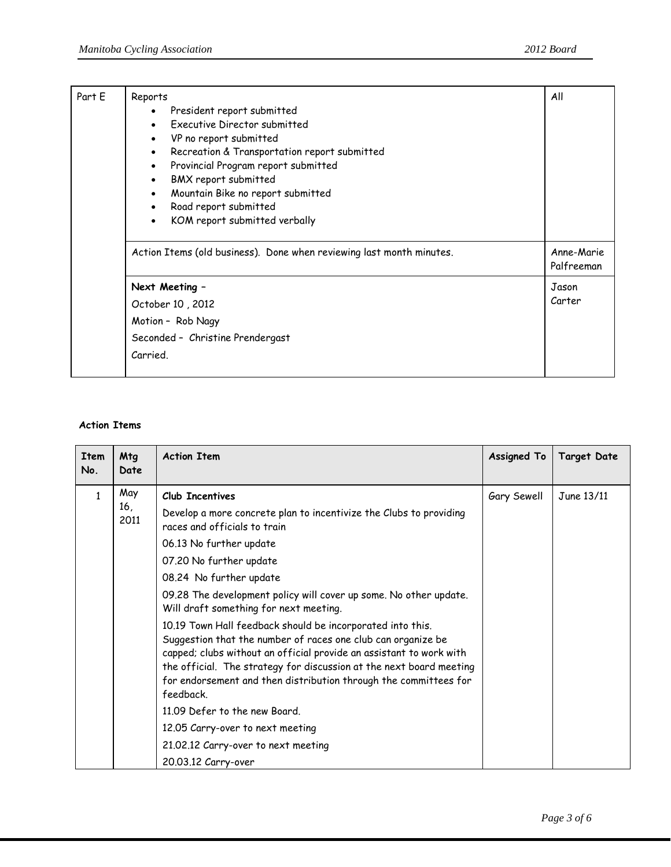| Part E | Reports<br>President report submitted<br>$\bullet$<br>Executive Director submitted<br>$\bullet$<br>VP no report submitted<br>$\bullet$<br>Recreation & Transportation report submitted<br>$\bullet$<br>Provincial Program report submitted<br>$\bullet$<br>BMX report submitted<br>$\bullet$<br>Mountain Bike no report submitted<br>$\bullet$<br>Road report submitted<br>$\bullet$<br>KOM report submitted verbally<br>$\bullet$ | All                      |
|--------|------------------------------------------------------------------------------------------------------------------------------------------------------------------------------------------------------------------------------------------------------------------------------------------------------------------------------------------------------------------------------------------------------------------------------------|--------------------------|
|        | Action Items (old business). Done when reviewing last month minutes.                                                                                                                                                                                                                                                                                                                                                               | Anne-Marie<br>Palfreeman |
|        | Next Meeting -<br>October 10, 2012<br>Motion - Rob Nagy<br>Seconded - Christine Prendergast<br>Carried.                                                                                                                                                                                                                                                                                                                            |                          |

## **Action Items**

| <b>Item</b><br>No. | Mtg<br>Date        | <b>Action Item</b>                                                                                                                                                                                                                                                                                                                                                                                                                                                                                                                                                                                                                                                                                                                                                                                                   | <b>Assigned To</b> | <b>Target Date</b> |
|--------------------|--------------------|----------------------------------------------------------------------------------------------------------------------------------------------------------------------------------------------------------------------------------------------------------------------------------------------------------------------------------------------------------------------------------------------------------------------------------------------------------------------------------------------------------------------------------------------------------------------------------------------------------------------------------------------------------------------------------------------------------------------------------------------------------------------------------------------------------------------|--------------------|--------------------|
| 1                  | May<br>16,<br>2011 | Club Incentives<br>Develop a more concrete plan to incentivize the Clubs to providing<br>races and officials to train<br>06.13 No further update<br>07.20 No further update<br>08.24 No further update<br>09.28 The development policy will cover up some. No other update.<br>Will draft something for next meeting.<br>10.19 Town Hall feedback should be incorporated into this.<br>Suggestion that the number of races one club can organize be<br>capped; clubs without an official provide an assistant to work with<br>the official. The strategy for discussion at the next board meeting<br>for endorsement and then distribution through the committees for<br>feedback<br>11.09 Defer to the new Board.<br>12.05 Carry-over to next meeting<br>21.02.12 Carry-over to next meeting<br>20.03.12 Carry-over | Gary Sewell        | June 13/11         |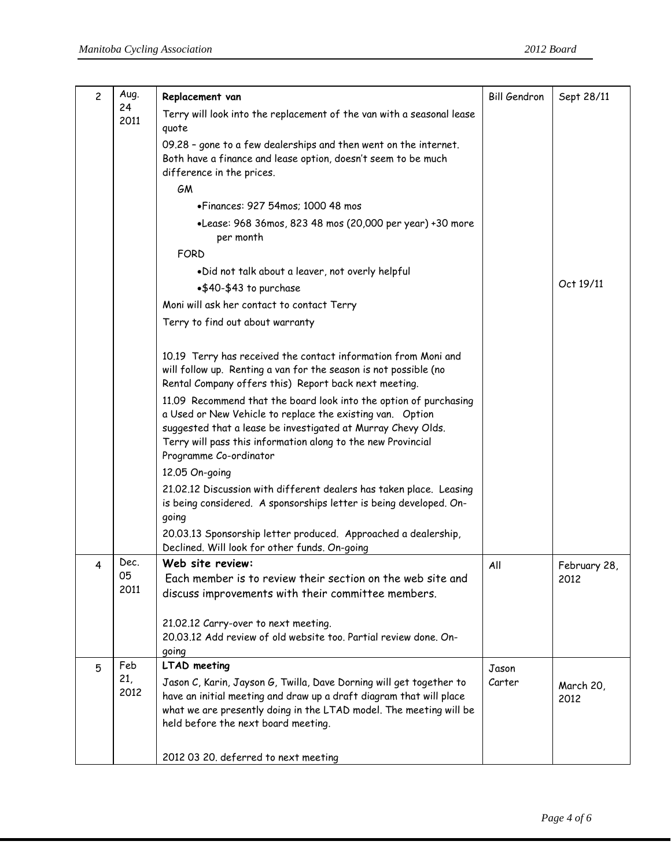| 24<br>Terry will look into the replacement of the van with a seasonal lease<br>2011<br>quote<br>09.28 - gone to a few dealerships and then went on the internet.<br>Both have a finance and lease option, doesn't seem to be much<br>difference in the prices.<br>GM<br>• Finances: 927 54mos: 1000 48 mos<br>•Lease: 968 36mos, 823 48 mos (20,000 per year) +30 more | Oct 19/11    |
|------------------------------------------------------------------------------------------------------------------------------------------------------------------------------------------------------------------------------------------------------------------------------------------------------------------------------------------------------------------------|--------------|
|                                                                                                                                                                                                                                                                                                                                                                        |              |
|                                                                                                                                                                                                                                                                                                                                                                        |              |
|                                                                                                                                                                                                                                                                                                                                                                        |              |
|                                                                                                                                                                                                                                                                                                                                                                        |              |
|                                                                                                                                                                                                                                                                                                                                                                        |              |
|                                                                                                                                                                                                                                                                                                                                                                        |              |
| per month                                                                                                                                                                                                                                                                                                                                                              |              |
| <b>FORD</b>                                                                                                                                                                                                                                                                                                                                                            |              |
| .Did not talk about a leaver, not overly helpful                                                                                                                                                                                                                                                                                                                       |              |
| •\$40-\$43 to purchase                                                                                                                                                                                                                                                                                                                                                 |              |
| Moni will ask her contact to contact Terry                                                                                                                                                                                                                                                                                                                             |              |
| Terry to find out about warranty                                                                                                                                                                                                                                                                                                                                       |              |
| 10.19 Terry has received the contact information from Moni and<br>will follow up. Renting a van for the season is not possible (no<br>Rental Company offers this) Report back next meeting.                                                                                                                                                                            |              |
| 11.09 Recommend that the board look into the option of purchasing<br>a Used or New Vehicle to replace the existing van. Option<br>suggested that a lease be investigated at Murray Chevy Olds.<br>Terry will pass this information along to the new Provincial<br>Programme Co-ordinator                                                                               |              |
| 12.05 On-going                                                                                                                                                                                                                                                                                                                                                         |              |
| 21.02.12 Discussion with different dealers has taken place. Leasing<br>is being considered. A sponsorships letter is being developed. On-<br>going                                                                                                                                                                                                                     |              |
| 20.03.13 Sponsorship letter produced. Approached a dealership,<br>Declined. Will look for other funds. On-going                                                                                                                                                                                                                                                        |              |
| Web site review:<br>Dec.<br>All<br>4                                                                                                                                                                                                                                                                                                                                   | February 28, |
| U5.<br>Each member is to review their section on the web site and<br>2012<br>2011                                                                                                                                                                                                                                                                                      |              |
| discuss improvements with their committee members.                                                                                                                                                                                                                                                                                                                     |              |
| 21.02.12 Carry-over to next meeting.                                                                                                                                                                                                                                                                                                                                   |              |
| 20.03.12 Add review of old website too. Partial review done. On-                                                                                                                                                                                                                                                                                                       |              |
| going                                                                                                                                                                                                                                                                                                                                                                  |              |
| Feb<br><b>LTAD meeting</b><br>5<br>Jason<br>21,<br>Carter<br>Jason C, Karin, Jayson G, Twilla, Dave Dorning will get together to                                                                                                                                                                                                                                       |              |
| 2012<br>have an initial meeting and draw up a draft diagram that will place<br>2012<br>what we are presently doing in the LTAD model. The meeting will be<br>held before the next board meeting.                                                                                                                                                                       | March 20,    |
| 2012 03 20. deferred to next meeting                                                                                                                                                                                                                                                                                                                                   |              |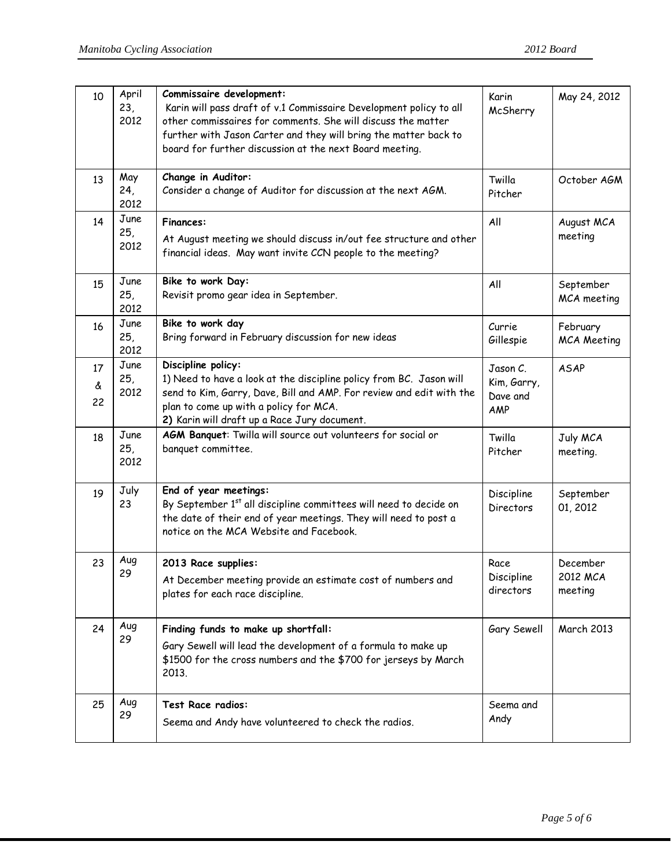| 10            | April<br>23,<br>2012 | Commissaire development:<br>Karin will pass draft of v.1 Commissaire Development policy to all<br>other commissaires for comments. She will discuss the matter<br>further with Jason Carter and they will bring the matter back to<br>board for further discussion at the next Board meeting. | Karin<br>McSherry                          | May 24, 2012                    |
|---------------|----------------------|-----------------------------------------------------------------------------------------------------------------------------------------------------------------------------------------------------------------------------------------------------------------------------------------------|--------------------------------------------|---------------------------------|
| 13            | May<br>24,<br>2012   | Change in Auditor:<br>Consider a change of Auditor for discussion at the next AGM.                                                                                                                                                                                                            | Twilla<br>Pitcher                          | October AGM                     |
| 14            | June<br>25,<br>2012  | <b>Finances:</b><br>At August meeting we should discuss in/out fee structure and other<br>financial ideas. May want invite CCN people to the meeting?                                                                                                                                         | All                                        | August MCA<br>meeting           |
| 15            | June<br>25,<br>2012  | Bike to work Day:<br>Revisit promo gear idea in September.                                                                                                                                                                                                                                    | All                                        | September<br>MCA meeting        |
| 16            | June<br>25,<br>2012  | Bike to work day<br>Bring forward in February discussion for new ideas                                                                                                                                                                                                                        | Currie<br>Gillespie                        | February<br><b>MCA Meeting</b>  |
| 17<br>ፈ<br>22 | June<br>25,<br>2012  | Discipline policy:<br>1) Need to have a look at the discipline policy from BC. Jason will<br>send to Kim, Garry, Dave, Bill and AMP. For review and edit with the<br>plan to come up with a policy for MCA.<br>2) Karin will draft up a Race Jury document.                                   | Jason C.<br>Kim, Garry,<br>Dave and<br>AMP | <b>ASAP</b>                     |
| 18            | June<br>25,<br>2012  | AGM Banquet: Twilla will source out volunteers for social or<br>banquet committee.                                                                                                                                                                                                            | Twilla<br>Pitcher                          | July MCA<br>meeting.            |
| 19            | July<br>23           | End of year meetings:<br>By September 1st all discipline committees will need to decide on<br>the date of their end of year meetings. They will need to post a<br>notice on the MCA Website and Facebook.                                                                                     | Discipline<br>Directors                    | September<br>01, 2012           |
| 23            | Aug<br>29            | 2013 Race supplies:<br>At December meeting provide an estimate cost of numbers and<br>plates for each race discipline.                                                                                                                                                                        | Race<br>Discipline<br>directors            | December<br>2012 MCA<br>meeting |
| 24            | Aug<br>29            | Finding funds to make up shortfall:<br>Gary Sewell will lead the development of a formula to make up<br>\$1500 for the cross numbers and the \$700 for jerseys by March<br>2013.                                                                                                              | Gary Sewell                                | <b>March 2013</b>               |
| 25            | Aug<br>29            | Test Race radios:<br>Seema and Andy have volunteered to check the radios.                                                                                                                                                                                                                     | Seema and<br>Andy                          |                                 |